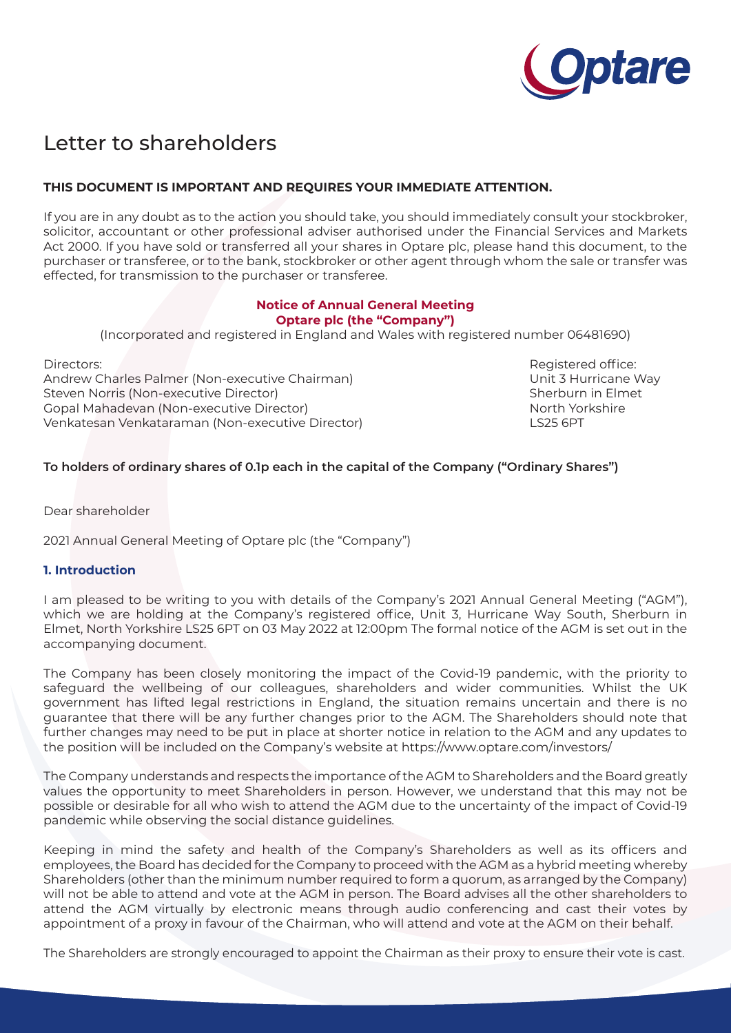

# Letter to shareholders

## **THIS DOCUMENT IS IMPORTANT AND REQUIRES YOUR IMMEDIATE ATTENTION.**

If you are in any doubt as to the action you should take, you should immediately consult your stockbroker, solicitor, accountant or other professional adviser authorised under the Financial Services and Markets Act 2000. If you have sold or transferred all your shares in Optare plc, please hand this document, to the purchaser or transferee, or to the bank, stockbroker or other agent through whom the sale or transfer was effected, for transmission to the purchaser or transferee.

### **Notice of Annual General Meeting Optare plc (the "Company")**

(Incorporated and registered in England and Wales with registered number 06481690)

Andrew Charles Palmer (Non-executive Chairman) and Marking the Unit 3 Hurricane Way Steven Norris (Non-executive Director) Sherburn in Elmet Gopal Mahadevan (Non-executive Director) North Yorkshire Venkatesan Venkataraman (Non-executive Director) LS25 6PT

Directors: Registered office:

### **To holders of ordinary shares of 0.1p each in the capital of the Company ("Ordinary Shares")**

Dear shareholder

2021 Annual General Meeting of Optare plc (the "Company")

#### **1. Introduction**

I am pleased to be writing to you with details of the Company's 2021 Annual General Meeting ("AGM"), which we are holding at the Company's registered office, Unit 3, Hurricane Way South, Sherburn in Elmet, North Yorkshire LS25 6PT on 03 May 2022 at 12:00pm The formal notice of the AGM is set out in the accompanying document.

The Company has been closely monitoring the impact of the Covid-19 pandemic, with the priority to safeguard the wellbeing of our colleagues, shareholders and wider communities. Whilst the UK government has lifted legal restrictions in England, the situation remains uncertain and there is no guarantee that there will be any further changes prior to the AGM. The Shareholders should note that further changes may need to be put in place at shorter notice in relation to the AGM and any updates to the position will be included on the Company's website at https://www.optare.com/investors/

The Company understands and respects the importance of the AGM to Shareholders and the Board greatly values the opportunity to meet Shareholders in person. However, we understand that this may not be possible or desirable for all who wish to attend the AGM due to the uncertainty of the impact of Covid-19 pandemic while observing the social distance guidelines.

Keeping in mind the safety and health of the Company's Shareholders as well as its officers and employees, the Board has decided for the Company to proceed with the AGM as a hybrid meeting whereby Shareholders (other than the minimum number required to form a quorum, as arranged by the Company) will not be able to attend and vote at the AGM in person. The Board advises all the other shareholders to attend the AGM virtually by electronic means through audio conferencing and cast their votes by appointment of a proxy in favour of the Chairman, who will attend and vote at the AGM on their behalf.

The Shareholders are strongly encouraged to appoint the Chairman as their proxy to ensure their vote is cast.